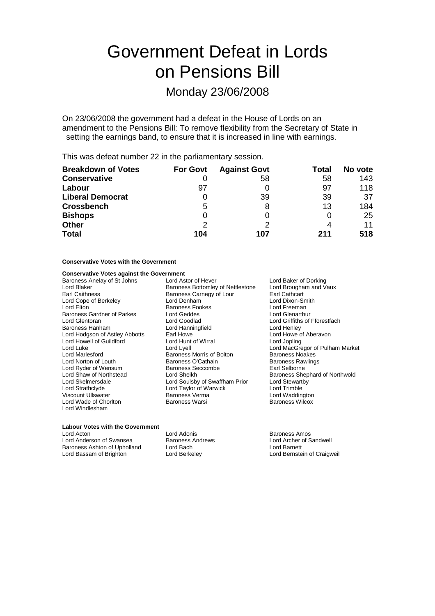# Government Defeat in Lords on Pensions Bill

## Monday 23/06/2008

On 23/06/2008 the government had a defeat in the House of Lords on an amendment to the Pensions Bill: To remove flexibility from the Secretary of State in setting the earnings band, to ensure that it is increased in line with earnings.

This was defeat number 22 in the parliamentary session.

| <b>Breakdown of Votes</b> | <b>For Govt</b> | <b>Against Govt</b> | Total | No vote |
|---------------------------|-----------------|---------------------|-------|---------|
| <b>Conservative</b>       |                 | 58                  | 58    | 143     |
| Labour                    | 97              |                     | 97    | 118     |
| <b>Liberal Democrat</b>   |                 | 39                  | 39    | 37      |
| <b>Crossbench</b>         | 5               | 8                   | 13    | 184     |
| <b>Bishops</b>            |                 |                     |       | 25      |
| <b>Other</b>              | $\mathcal{P}$   |                     |       | 11      |
| <b>Total</b>              | 104             | 107                 | 211   | 518     |

## **Conservative Votes with the Government**

### **Conservative Votes against the Government**

| Baroness Anelay of St Johns       | Lord Astor of Hever                                         | Lord Baker of Dorking           |  |
|-----------------------------------|-------------------------------------------------------------|---------------------------------|--|
| Lord Blaker                       | Baroness Bottomley of Nettlestone<br>Lord Brougham and Vaux |                                 |  |
| <b>Earl Caithness</b>             | Baroness Carnegy of Lour<br>Earl Cathcart                   |                                 |  |
| Lord Cope of Berkeley             | Lord Denham                                                 | Lord Dixon-Smith                |  |
| Lord Elton                        | <b>Baroness Fookes</b>                                      | Lord Freeman                    |  |
| <b>Baroness Gardner of Parkes</b> | Lord Geddes                                                 | Lord Glenarthur                 |  |
| Lord Glentoran                    | Lord Goodlad                                                | Lord Griffiths of Fforestfach   |  |
| Baroness Hanham                   | Lord Hanningfield                                           | Lord Henley                     |  |
| Lord Hodgson of Astley Abbotts    | Earl Howe                                                   | Lord Howe of Aberavon           |  |
| Lord Howell of Guildford          | Lord Hunt of Wirral                                         | Lord Jopling                    |  |
| Lord Luke                         | Lord Lyell                                                  | Lord MacGregor of Pulham Market |  |
| Lord Marlesford                   | Baroness Morris of Bolton                                   | <b>Baroness Noakes</b>          |  |
| Lord Norton of Louth              | Baroness O'Cathain                                          | <b>Baroness Rawlings</b>        |  |
| Lord Ryder of Wensum              | Baroness Seccombe                                           | Earl Selborne                   |  |
| Lord Shaw of Northstead           | Lord Sheikh                                                 | Baroness Shephard of Northwold  |  |
| Lord Skelmersdale                 | Lord Soulsby of Swaffham Prior                              | Lord Stewartby                  |  |
| Lord Strathclyde                  | Lord Taylor of Warwick                                      | Lord Trimble                    |  |
| <b>Viscount Ullswater</b>         | Baroness Verma                                              | Lord Waddington                 |  |
| Lord Wade of Chorlton             | Baroness Warsi                                              | <b>Baroness Wilcox</b>          |  |
| Lord Windlesham                   |                                                             |                                 |  |

#### **Labour Votes with the Government**

| Lord Acton                   | Lord Adonis             | Baroness Amos               |
|------------------------------|-------------------------|-----------------------------|
| Lord Anderson of Swansea     | <b>Baroness Andrews</b> | Lord Archer of Sandwell     |
| Baroness Ashton of Upholland | Lord Bach               | Lord Barnett                |
| Lord Bassam of Brighton      | Lord Berkeley           | Lord Bernstein of Craigweil |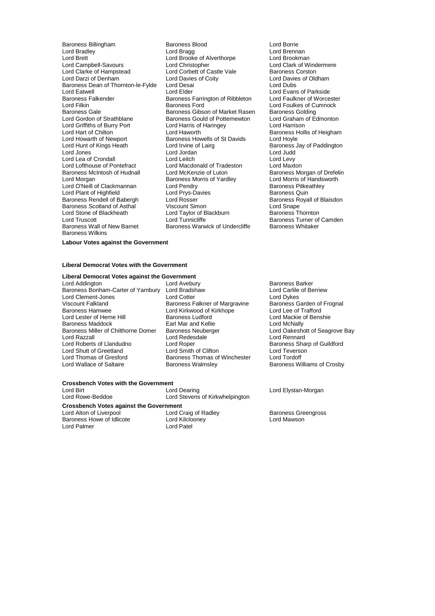Lord Brett (Cord Brooke of Alverthorpe Ford Brookman Lord Brookman Lord Brookman Lord Brookman Lord Clark of Windermere Lord Campbell-Savours Lord Christopher Lord Christopher Lord Clark of Wind<br>Lord Clarke of Hampstead Lord Corbett of Castle Vale Baroness Corston Lord Clarke of Hampstead Lord Corbett of Castle Vale<br>
Lord Darzi of Denham<br>
Lord Davies of Coity Baroness Dean of Thornton-le-Fylde Lord Eatwell Lord Elder Lord Elder Lord Evans of Parkside<br>Baroness Falkender Baroness Farrington of Ribbleton Lord Faulkner of Worcester Baroness Falkender Baroness Farrington of Ribbleton Lord Filkiner Corp. Baroness Ford Lord Filkin **Exercise State Baroness Ford** Ford Foulkes of Cumnock<br>Baroness Gale Baroness Gibson of Market Rasen Baroness Golding Baroness Gale Baroness Gibson of Market Rasen Baroness Golding<br>
Baroness Gould of Potternewton Lord Graham of Edmonton Lord Griffiths of Burry Port Lord Harris of Lord Harris of Lord Harrison Lord Hart of Chilton **Lord Haworth** Baroness Hollis of Heigham<br>
Lord Howarth of Newport Baroness Howells of St Davids Lord Hoyle Lord Howarth of Newport **Baroness Howells of St Davids** Lord Hoyle<br>
Lord Howarth of Newport **Baroness Lord Irvine of Lairg** Baroness J Lord Hunt of Kings Heath Lord Irvine of Lairg Baroness Jay of Paddington<br>
Lord Jones Lord Irvine of Lord Judd<br>
Lord Judd Lord Lea of Crondall **Lord Leitch** Lord Leitch Lord Levy<br>
Lord Lord Lord Macdonald of Tradeston Lord Maxton Lord Lofthouse of Pontefract Lord Macdonald of Trade<br>Baroness McIntosh of Hudnall Lord McKenzie of Luton Baroness McIntosh of Hudnall Lord McKenzie of Luton Baroness Morgan of Drefelin<br>Lord Morgan Baroness Morris of Yardley Lord Morris of Handsworth Lord O'Neill of Clackmannan Lord Pendry Corporation Baroness Pitke<br>
Lord Plant of Highfield Corporation Lord Prvs-Davies Corporation Baroness Quin Lord Plant of Highfield Lord Prys-David Lord Prys-David Baroness Rendell of Babergh Lord Rosser Baroness Scotland of Asthal Viscount Simon Lord Snape Lord Stone of Blackheath Lord Taylor of Blackburn<br>
Lord Truscott Lord Tunnicliffe Lord Truscott **Lord Tunnicliffe** Exercise Baroness Turner of Camden<br>
Baroness Wall of New Barnet Baroness Warwick of Undercliffe Baroness Whitaker Baroness Wilkins

Baroness Billingham Baroness Blood Borrie<br>
Lord Bradley Lord Borrie<br>
Lord Bragg<br>
Lord Bragg Lord Davies of Coity Lord Davies of Oldham Lord Desai Lord Dubs Baroness Gould of Potternewton Lord Graham <br>Lord Harris of Haringey Lord Harrison Lord Jones Lord Jordan Lord Judd Extra Baroness Morris of Yardley Lord Morris of Handsworth Baroness Pitkeathley **Lord Rosser Communist Conservation Conservation Conservation Conservation Conservation Conservation Conservation**<br>
Lord Snape Baroness Warwick of Undercliffe

Lord Brennan<br>Lord Brookman

**Labour Votes against the Government**

#### **Liberal Democrat Votes with the Government**

## **Liberal Democrat Votes against the Government**

Baroness Bonham-Carter of Yarnbury Lord Bradshaw Lord Clement-Jones **Lord Cotter** Lord Cotter **Lord Dykes**<br>
Viscount Falkland **Containst Containe** Baroness Falkner of Margravine Baroness Garden of Frognal Viscount Falkland The Baroness Falkner of Margravine Baroness Garden of Baroness Garden of Baroness Garden of<br>Baroness Hamwee Trafford Lord Kirkwood of Kirkhope Lord Lee of Trafford Baroness Hamwee<br>
Lord Lester of Herne Hill<br>
Baroness Ludford<br>
Baroness Ludford Baroness Maddock **Earl Mar and Kellie Earl Mar and Kellie** Lord McNally<br>Baroness Miller of Chilthorne Domer Baroness Neuberger **Earl Lord Oakeshott of Seagrove Bay** Baroness Miller of Chilthorne Domer Baroness Neuberger Lord Cakeshott Charles Lord Oakeshott Cord Charles Lord Rennard Lord Razzall<br>
Lord Roberts of Llandudno<br>
Lord Roper Lord Shutt of Greetland Lord Smith of Clifton Lord Shutt of Creense<br>
Lord Thomas of Gresford Baroness Thomas of Winchester Lord Tordoff Lord Thomas of Gresford Baroness Thomas of Winchester<br>
Lord Wallace of Saltaire Baroness Walmsley

**Baroness Ludford** Lord Mackie of Benshie<br> **Earl Mar and Kellie** Lord McNally Lord Roper<br>
Lord Smith of Clifton<br>
Lord Teverson

Lord Stevens of Kirkwhelpington

Baroness Barker<br>Lord Carlile of Berriew Baroness Williams of Crosby

## **Crossbench Votes with the Government**

Lord Birt Lord Dearing Lord Elystan-Morgan

**Crossbench Votes against the Government**<br>Lord Alton of Liverpool Lord Craig of Radley Lord Alton of Liverpool **Lord Craig of Radley** Baroness Greengross<br>
Baroness Howe of Idlicote **Lord Kilclooney** Lord Cord Mawson Baroness Howe of Idlicote Lord Palmer Lord Patel